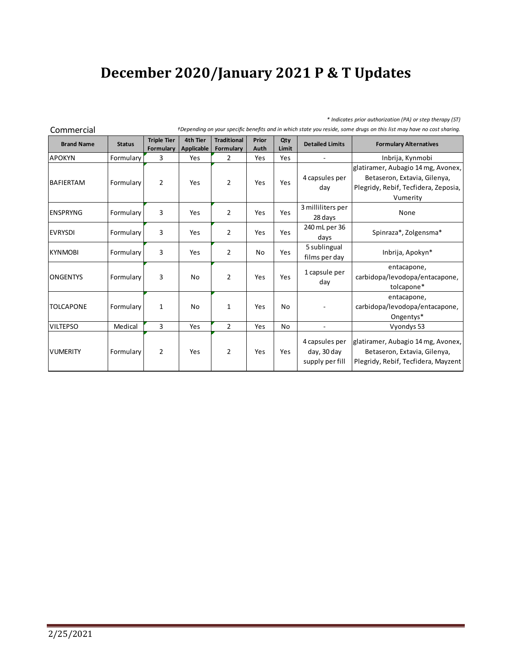## **December 2020/January 2021 P & T Updates**

## *\* Indicates prior authorization (PA) or step therapy (ST)*

| Commercial        |               | vepenang on your specific benefits and in which state you reside, some arags on this list may nave no cost sharmy. |                        |                                 |               |              |                        |                                      |  |
|-------------------|---------------|--------------------------------------------------------------------------------------------------------------------|------------------------|---------------------------------|---------------|--------------|------------------------|--------------------------------------|--|
| <b>Brand Name</b> | <b>Status</b> | <b>Triple Tier</b><br>Formulary                                                                                    | 4th Tier<br>Applicable | <b>Traditional</b><br>Formulary | Prior<br>Auth | Qty<br>Limit | <b>Detailed Limits</b> | <b>Formulary Alternatives</b>        |  |
| <b>APOKYN</b>     | Formulary     | 3                                                                                                                  | Yes                    | 2                               | Yes           | Yes          |                        | Inbrija, Kynmobi                     |  |
|                   |               |                                                                                                                    |                        |                                 |               |              |                        | glatiramer, Aubagio 14 mg, Avonex,   |  |
| <b>BAFIERTAM</b>  | Formulary     | $\overline{2}$                                                                                                     | Yes                    | $\overline{2}$                  | Yes           | Yes          | 4 capsules per         | Betaseron, Extavia, Gilenya,         |  |
|                   |               |                                                                                                                    |                        |                                 |               |              | day                    | Plegridy, Rebif, Tecfidera, Zeposia, |  |
|                   |               |                                                                                                                    |                        |                                 |               |              |                        | Vumerity                             |  |
| <b>IENSPRYNG</b>  | Formulary     | 3                                                                                                                  | Yes                    | 2                               | Yes           | Yes          | 3 milliliters per      | None                                 |  |
|                   |               |                                                                                                                    |                        |                                 |               |              | 28 days                |                                      |  |
| <b>EVRYSDI</b>    | Formulary     | 3                                                                                                                  | Yes                    | $\overline{2}$                  | Yes           | Yes          | 240 mL per 36          | Spinraza*, Zolgensma*                |  |
|                   |               |                                                                                                                    |                        |                                 |               |              | days                   |                                      |  |
| <b>KYNMOBI</b>    | Formulary     | 3                                                                                                                  | Yes                    | $\overline{2}$                  | No            | Yes          | 5 sublingual           | Inbrija, Apokyn*                     |  |
|                   |               |                                                                                                                    |                        |                                 |               |              | films per day          |                                      |  |
| <b>ONGENTYS</b>   |               | 3                                                                                                                  | No                     | $\overline{2}$                  | Yes           | Yes          | 1 capsule per          | entacapone,                          |  |
|                   | Formulary     |                                                                                                                    |                        |                                 |               |              | day                    | carbidopa/levodopa/entacapone,       |  |
|                   |               |                                                                                                                    |                        |                                 |               |              |                        | tolcapone*                           |  |
|                   |               |                                                                                                                    |                        |                                 |               |              |                        | entacapone,                          |  |
| <b>TOLCAPONE</b>  | Formulary     | $\mathbf{1}$                                                                                                       | No                     | $\mathbf{1}$                    | Yes           | <b>No</b>    |                        | carbidopa/levodopa/entacapone,       |  |
|                   |               |                                                                                                                    |                        |                                 |               |              |                        | Ongentys*                            |  |
| <b>VILTEPSO</b>   | Medical       | 3                                                                                                                  | Yes                    | $\overline{2}$                  | Yes           | <b>No</b>    |                        | Vyondys 53                           |  |
|                   |               |                                                                                                                    |                        |                                 |               |              | 4 capsules per         | glatiramer, Aubagio 14 mg, Avonex,   |  |
| <b>VUMERITY</b>   | Formulary     | $\overline{2}$                                                                                                     | Yes                    | $\overline{2}$                  | Yes           | Yes          | day, 30 day            | Betaseron, Extavia, Gilenya,         |  |
|                   |               |                                                                                                                    |                        |                                 |               |              | supply per fill        | Plegridy, Rebif, Tecfidera, Mayzent  |  |
|                   |               |                                                                                                                    |                        |                                 |               |              |                        |                                      |  |

Commercial *†Depending on your specific benefits and in which state you reside, some drugs on this list may have no cost sharing.*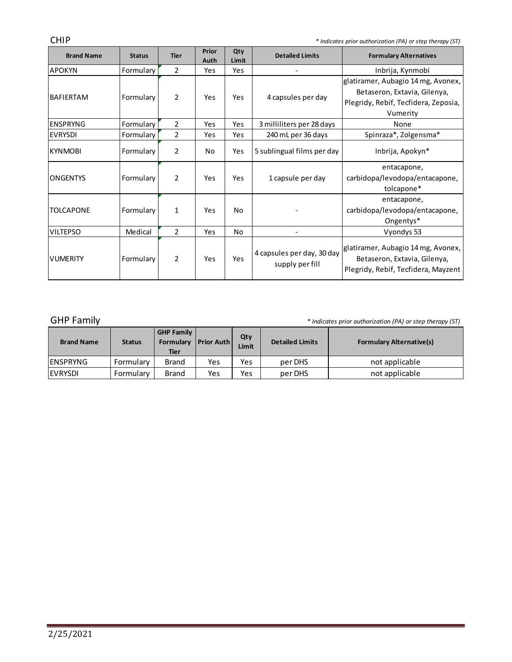CHIP *\* Indicates prior authorization (PA) or step therapy (ST)*

| <b>Brand Name</b> | <b>Status</b> | <b>Tier</b>    | Prior<br>Auth | Qty<br>Limit | <b>Detailed Limits</b>                        | <b>Formulary Alternatives</b>                                                                                          |
|-------------------|---------------|----------------|---------------|--------------|-----------------------------------------------|------------------------------------------------------------------------------------------------------------------------|
| <b>APOKYN</b>     | Formulary     | $\overline{2}$ | Yes           | Yes          |                                               | Inbrija, Kynmobi                                                                                                       |
| <b>BAFIERTAM</b>  | Formulary     | $\overline{2}$ | Yes           | Yes          | 4 capsules per day                            | glatiramer, Aubagio 14 mg, Avonex,<br>Betaseron, Extavia, Gilenya,<br>Plegridy, Rebif, Tecfidera, Zeposia,<br>Vumerity |
| <b>ENSPRYNG</b>   | Formulary     | $\overline{2}$ | Yes           | Yes          | 3 milliliters per 28 days                     | None                                                                                                                   |
| <b>EVRYSDI</b>    | Formulary     | $\overline{2}$ | Yes           | Yes          | 240 mL per 36 days                            | Spinraza*, Zolgensma*                                                                                                  |
| <b>KYNMOBI</b>    | Formulary     | $\overline{2}$ | No.           | Yes          | 5 sublingual films per day                    | Inbrija, Apokyn*                                                                                                       |
| <b>ONGENTYS</b>   | Formulary     | $\overline{2}$ | Yes           | Yes          | 1 capsule per day                             | entacapone,<br>carbidopa/levodopa/entacapone,<br>tolcapone*                                                            |
| <b>TOLCAPONE</b>  | Formulary     | 1              | Yes           | No           |                                               | entacapone,<br>carbidopa/levodopa/entacapone,<br>Ongentys*                                                             |
| <b>VILTEPSO</b>   | Medical       | $\overline{2}$ | Yes           | No           | $\overline{\phantom{a}}$                      | Vyondys 53                                                                                                             |
| <b>VUMERITY</b>   | Formulary     | $\overline{2}$ | Yes           | Yes          | 4 capsules per day, 30 day<br>supply per fill | glatiramer, Aubagio 14 mg, Avonex,<br>Betaseron, Extavia, Gilenya,<br>Plegridy, Rebif, Tecfidera, Mayzent              |

GHP Family *\* Indicates prior authorization (PA) or step therapy (ST)*

the control of the control of the control of

| <b>Brand Name</b> | <b>Status</b> | <b>GHP Family</b><br>Formulary<br>Tier | <b>Prior Auth</b> | Qty<br><b>Limit</b> | <b>Detailed Limits</b> | <b>Formulary Alternative(s)</b> |
|-------------------|---------------|----------------------------------------|-------------------|---------------------|------------------------|---------------------------------|
| lenspryng         | Formulary     | <b>Brand</b>                           | Yes               | Yes                 | per DHS                | not applicable                  |
| <b>IEVRYSDI</b>   | Formulary     | <b>Brand</b>                           | Yes               | Yes                 | per DHS                | not applicable                  |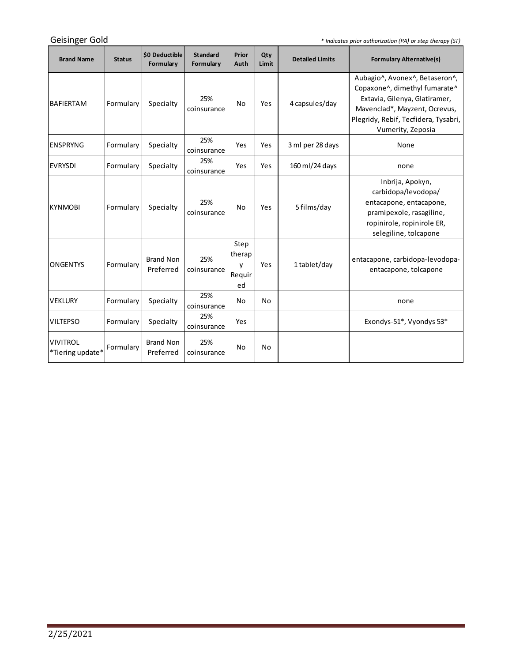Geisinger Gold

*\* Indicates prior authorization (PA) or step therapy (ST)*

<u> 1989 - Johann Barnett, fransk politiker (</u>

| <b>Brand Name</b>                   | <b>Status</b> | \$0 Deductible<br>Formulary   | <b>Standard</b><br>Formulary | Prior<br>Auth                       | Qty<br>Limit | <b>Detailed Limits</b> | <b>Formulary Alternative(s)</b>                                                                                                                                                                |
|-------------------------------------|---------------|-------------------------------|------------------------------|-------------------------------------|--------------|------------------------|------------------------------------------------------------------------------------------------------------------------------------------------------------------------------------------------|
| <b>BAFIERTAM</b>                    | Formulary     | Specialty                     | 25%<br>coinsurance           | No                                  | Yes          | 4 capsules/day         | Aubagio^, Avonex^, Betaseron^,<br>Copaxone^, dimethyl fumarate^<br>Extavia, Gilenya, Glatiramer,<br>Mavenclad*, Mayzent, Ocrevus,<br>Plegridy, Rebif, Tecfidera, Tysabri,<br>Vumerity, Zeposia |
| <b>ENSPRYNG</b>                     | Formulary     | Specialty                     | 25%<br>coinsurance           | Yes                                 | Yes          | 3 ml per 28 days       | None                                                                                                                                                                                           |
| <b>EVRYSDI</b>                      | Formulary     | Specialty                     | 25%<br>coinsurance           | Yes                                 | Yes          | 160 ml/24 days         | none                                                                                                                                                                                           |
| <b>KYNMOBI</b>                      | Formulary     | Specialty                     | 25%<br>coinsurance           | No                                  | Yes          | 5 films/day            | Inbrija, Apokyn,<br>carbidopa/levodopa/<br>entacapone, entacapone,<br>pramipexole, rasagiline,<br>ropinirole, ropinirole ER,<br>selegiline, tolcapone                                          |
| <b>ONGENTYS</b>                     | Formulary     | <b>Brand Non</b><br>Preferred | 25%<br>coinsurance           | Step<br>therap<br>v<br>Requir<br>ed | Yes          | 1 tablet/day           | entacapone, carbidopa-levodopa-<br>entacapone, tolcapone                                                                                                                                       |
| <b>VEKLURY</b>                      | Formulary     | Specialty                     | 25%<br>coinsurance           | No                                  | No           |                        | none                                                                                                                                                                                           |
| <b>VILTEPSO</b>                     | Formulary     | Specialty                     | 25%<br>coinsurance           | Yes                                 |              |                        | Exondys-51*, Vyondys 53*                                                                                                                                                                       |
| <b>VIVITROL</b><br>*Tiering update* | Formulary     | <b>Brand Non</b><br>Preferred | 25%<br>coinsurance           | No                                  | No           |                        |                                                                                                                                                                                                |